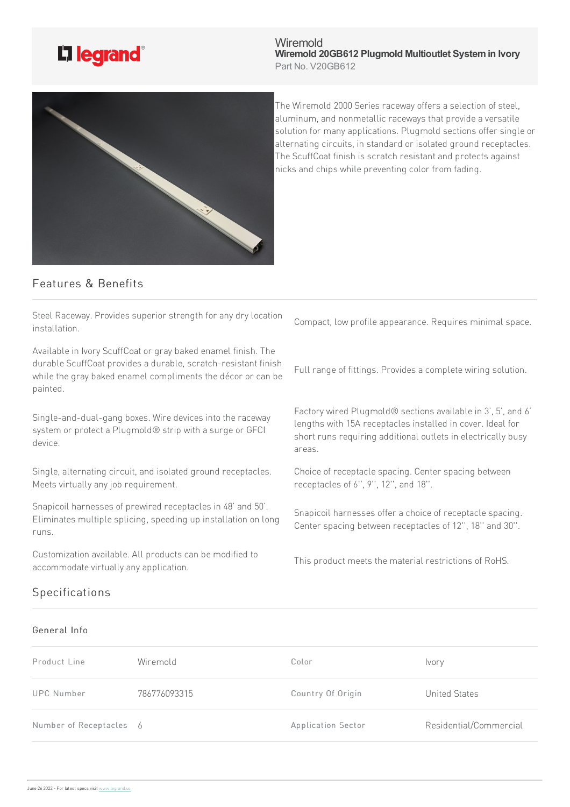

Wiremold **Wiremold 20GB612 Plugmold Multioutlet Systemin Ivory** Part No. V20GB612



The Wiremold 2000 Series raceway offers a selection of steel, aluminum, and nonmetallic raceways that provide a versatile solution for many applications. Plugmold sections offer single or alternating circuits, in standard or isolated ground receptacles. The ScuffCoat finish is scratch resistant and protects against nicks and chips while preventing color from fading.

## Features & Benefits

Steel Raceway. Provides superior strength for any dry location installation.

Available in Ivory ScuffCoat or gray baked enamel finish. The durable ScuffCoat provides a durable, scratch-resistant finish while the gray baked enamel compliments the décor or can be painted.

Single-and-dual-gang boxes. Wire devices into the raceway system or protect a Plugmold® strip with a surge or GFCI device.

Single, alternating circuit, and isolated ground receptacles. Meets virtually any job requirement.

Snapicoil harnesses of prewired receptacles in 48' and 50'. Eliminates multiple splicing, speeding up installation on long runs.

Customization available. All products can be modified to accommodate virtually any application.

Compact, low profile appearance. Requires minimal space.

Full range of fittings. Provides a complete wiring solution.

Factory wired Plugmold® sections available in 3', 5', and 6' lengths with 15A receptacles installed in cover. Ideal for short runs requiring additional outlets in electrically busy areas.

Choice of receptacle spacing. Center spacing between receptacles of 6", 9", 12", and 18".

Snapicoil harnesses offer a choice of receptacle spacing. Center spacing between receptacles of 12", 18" and 30".

This product meets the material restrictions of RoHS.

## Specifications

## General Info

| Product Line            | Wiremold     | Color              | <i>vory</i>            |
|-------------------------|--------------|--------------------|------------------------|
| <b>UPC Number</b>       | 786776093315 | Country Of Origin  | United States          |
| Number of Receptacles 6 |              | Application Sector | Residential/Commercial |